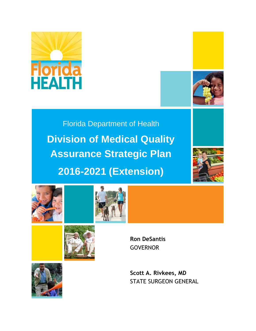



Florida Department of Health **Division of Medical Quality Assurance Strategic Plan 2016-2021 (Extension)**









**Ron DeSantis** GOVERNOR

**Scott A. Rivkees, MD** STATE SURGEON GENERAL

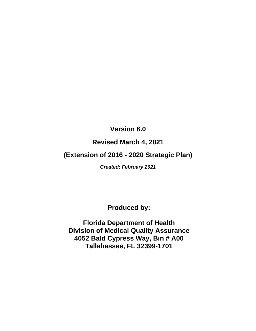## **Version 6.0**

## **Revised March 4, 2021**

## **(Extension of 2016 - 2020 Strategic Plan)**

*Created: February 2021*

**Produced by:**

**Florida Department of Health Division of Medical Quality Assurance 4052 Bald Cypress Way, Bin # A00 Tallahassee, FL 32399-1701**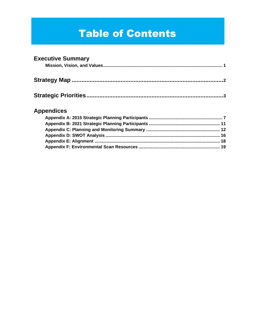# **Table of Contents**

### **Executive Summary**

## **Appendices**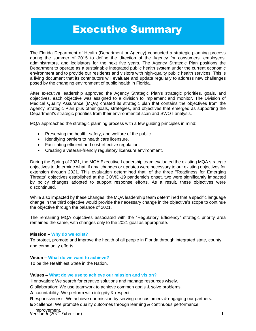# Executive Summary

The Florida Department of Health (Department or Agency) conducted a strategic planning process during the summer of 2015 to define the direction of the Agency for consumers, employees, administrators, and legislators for the next five years. The Agency Strategic Plan positions the Department to operate as a sustainable integrated public health system under the current economic environment and to provide our residents and visitors with high-quality public health services. This is a living document that its contributors will evaluate and update regularly to address new challenges posed by the changing environment of public health in Florida.

After executive leadership approved the Agency Strategic Plan's strategic priorities, goals, and objectives, each objective was assigned to a division to implement and monitor. The Division of Medical Quality Assurance (MQA) created its strategic plan that contains the objectives from the Agency Strategic Plan plus other goals, strategies, and objectives that emerged as supporting the Department's strategic priorities from their environmental scan and SWOT analysis.

MQA approached the strategic planning process with a few guiding principles in mind:

- Preserving the health, safety, and welfare of the public.
- Identifying barriers to health care licensure.
- Facilitating efficient and cost-effective regulation.
- Creating a veteran-friendly regulatory licensure environment.

During the Spring of 2021, the MQA Executive Leadership team evaluated the existing MQA strategic objectives to determine what, if any, changes or updates were necessary to our existing objectives for extension through 2021. This evaluation determined that, of the three "Readiness for Emerging Threats" objectives established at the COVID-19 pandemic's onset, two were significantly impacted by policy changes adopted to support response efforts. As a result, these objectives were discontinued.

While also impacted by these changes, the MQA leadership team determined that a specific language change in the third objective would provide the necessary change in the objective's scope to continue the objective through the balance of 2021.

The remaining MQA objectives associated with the "Regulatory Efficiency" strategic priority area remained the same, with changes only to the 2021 goal as appropriate.

#### **Mission – Why do we exist?**

To protect, promote and improve the health of all people in Florida through integrated state, county, and community efforts.

#### **Vision – What do we want to achieve?**

To be the Healthiest State in the Nation.

#### **Values – What do we use to achieve our mission and vision?**

**I** nnovation: We search for creative solutions and manage resources wisely.

**C** ollaboration: We use teamwork to achieve common goals & solve problems.

**A** ccountability: We perform with integrity & respect.

**R** esponsiveness: We achieve our mission by serving our customers & engaging our partners.

**E** xcellence: We promote quality outcomes through learning & continuous performance

Version 6 (2021 Extension) 1 improvement.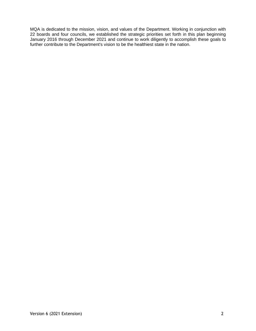MQA is dedicated to the mission, vision, and values of the Department. Working in conjunction with 22 boards and four councils, we established the strategic priorities set forth in this plan beginning January 2016 through December 2021 and continue to work diligently to accomplish these goals to further contribute to the Department's vision to be the healthiest state in the nation.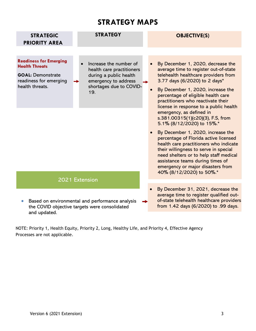## **STRATEGY MAPS**

<span id="page-5-0"></span>

| <b>STRATEGIC</b><br><b>PRIORITY AREA</b>                                                                                        | <b>STRATEGY</b>                                                                                                                         | <b>OBJECTIVE(S)</b>                                                                                                                                                                                                                                                                                                                                                                                                                                                                                                                                                                                                                                                                                                                                    |
|---------------------------------------------------------------------------------------------------------------------------------|-----------------------------------------------------------------------------------------------------------------------------------------|--------------------------------------------------------------------------------------------------------------------------------------------------------------------------------------------------------------------------------------------------------------------------------------------------------------------------------------------------------------------------------------------------------------------------------------------------------------------------------------------------------------------------------------------------------------------------------------------------------------------------------------------------------------------------------------------------------------------------------------------------------|
| <b>Readiness for Emerging</b><br><b>Health Threats</b><br><b>GOAL: Demonstrate</b><br>readiness for emerging<br>health threats. | Increase the number of<br>health care practitioners<br>during a public health<br>emergency to address<br>shortages due to COVID-<br>19. | By December 1, 2020, decrease the<br>average time to register out-of-state<br>telehealth healthcare providers from<br>3.77 days (6/2020) to 2 days*<br>By December 1, 2020, increase the<br>$\bullet$<br>percentage of eligible health care<br>practitioners who reactivate their<br>license in response to a public health<br>emergency, as defined in<br>s.381.00315(1)(c20)(3), F.S, from<br>5.1% (8/12/2020) to 15%.*<br>By December 1, 2020, increase the<br>$\bullet$<br>percentage of Florida active licensed<br>health care practitioners who indicate<br>their willingness to serve in special<br>need shelters or to help staff medical<br>assistance teams during times of<br>emergency or major disasters from<br>40% (8/12/2020) to 50%.* |
|                                                                                                                                 | 2021 Extension                                                                                                                          |                                                                                                                                                                                                                                                                                                                                                                                                                                                                                                                                                                                                                                                                                                                                                        |
| and updated.                                                                                                                    | Based on environmental and performance analysis<br>the COVID objective targets were consolidated                                        | By December 31, 2021, decrease the<br>average time to register qualified out-<br>of-state telehealth healthcare providers<br>from 1.42 days (6/2020) to .99 days.                                                                                                                                                                                                                                                                                                                                                                                                                                                                                                                                                                                      |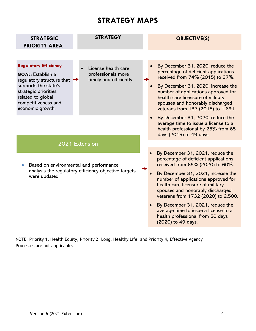# **STRATEGY MAPS**

| <b>STRATEGIC</b><br><b>PRIORITY AREA</b>                                                                                                                                                              | <b>STRATEGY</b>                                                      |  | <b>OBJECTIVE(S)</b>                                                                                                                                                                                                                                                                                       |
|-------------------------------------------------------------------------------------------------------------------------------------------------------------------------------------------------------|----------------------------------------------------------------------|--|-----------------------------------------------------------------------------------------------------------------------------------------------------------------------------------------------------------------------------------------------------------------------------------------------------------|
|                                                                                                                                                                                                       |                                                                      |  |                                                                                                                                                                                                                                                                                                           |
| <b>Regulatory Efficiency</b><br><b>GOAL:</b> Establish a<br>regulatory structure that<br>supports the state's<br>strategic priorities<br>related to global<br>competitiveness and<br>economic growth. | License health care<br>professionals more<br>timely and efficiently. |  | By December 31, 2020, reduce the<br>percentage of deficient applications<br>received from 74% (2015) to 37%.<br>By December 31, 2020, increase the<br>number of applications approved for<br>health care licensure of military<br>spouses and honorably discharged<br>veterans from 137 (2015) to 1,691.  |
|                                                                                                                                                                                                       |                                                                      |  | By December 31, 2020, reduce the<br>average time to issue a license to a<br>health professional by 25% from 65<br>days (2015) to 49 days.                                                                                                                                                                 |
|                                                                                                                                                                                                       | 2021 Extension                                                       |  |                                                                                                                                                                                                                                                                                                           |
| Based on environmental and performance<br>analysis the regulatory efficiency objective targets<br>were updated.                                                                                       |                                                                      |  | By December 31, 2021, reduce the<br>percentage of deficient applications<br>received from 65% (2020) to 60%.<br>By December 31, 2021, increase the<br>number of applications approved for<br>health care licensure of military<br>spouses and honorably discharged<br>veterans from 1732 (2020) to 2,500. |
|                                                                                                                                                                                                       |                                                                      |  | By December 31, 2021, reduce the<br>average time to issue a license to a<br>health professional from 50 days<br>(2020) to 49 days.                                                                                                                                                                        |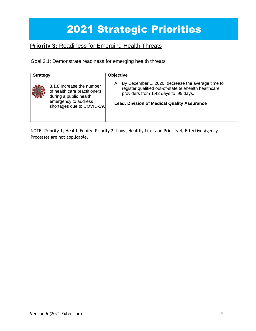# 2021 Strategic Priorities

## **Priority 3: Readiness for Emerging Health Threats**

Goal 3.1: Demonstrate readiness for emerging health threats

| <b>Strategy</b> |                                                                                                                                           | <b>Objective</b>                                                                                                                                                                                                |
|-----------------|-------------------------------------------------------------------------------------------------------------------------------------------|-----------------------------------------------------------------------------------------------------------------------------------------------------------------------------------------------------------------|
|                 | 3.1.8 Increase the number<br>of health care practitioners<br>during a public health<br>emergency to address<br>shortages due to COVID-19. | By December 1, 2020, decrease the average time to<br>А.<br>register qualified out-of-state telehealth healthcare<br>providers from 1.42 days to .99 days.<br><b>Lead: Division of Medical Quality Assurance</b> |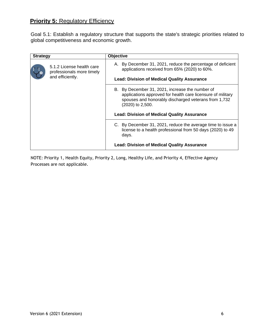## **Priority 5: Regulatory Efficiency**

Goal 5.1: Establish a regulatory structure that supports the state's strategic priorities related to global competitiveness and economic growth.

| <b>Strategy</b> |                                                                            | <b>Objective</b>                                                                                                                                                                                                                                 |
|-----------------|----------------------------------------------------------------------------|--------------------------------------------------------------------------------------------------------------------------------------------------------------------------------------------------------------------------------------------------|
|                 | 5.1.2 License health care<br>professionals more timely<br>and efficiently. | A. By December 31, 2021, reduce the percentage of deficient<br>applications received from 65% (2020) to 60%.<br><b>Lead: Division of Medical Quality Assurance</b>                                                                               |
|                 |                                                                            | B. By December 31, 2021, increase the number of<br>applications approved for health care licensure of military<br>spouses and honorably discharged veterans from 1,732<br>(2020) to 2,500.<br><b>Lead: Division of Medical Quality Assurance</b> |
|                 |                                                                            | C. By December 31, 2021, reduce the average time to issue a<br>license to a health professional from 50 days (2020) to 49<br>days.<br><b>Lead: Division of Medical Quality Assurance</b>                                                         |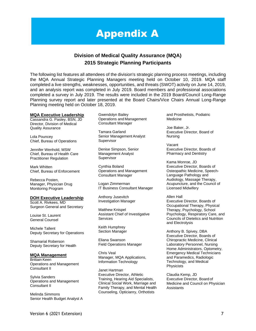# Appendix A

### **Division of Medical Quality Assurance (MQA) 2015 Strategic Planning Participants**

The following list features all attendees of the division's strategic planning process meetings, including the MQA Annual Strategic Planning Managers meeting held on October 10, 2019. MQA staff completed a live strengths, weaknesses, opportunities, and threats (SWOT) activity on June 14, 2019, and an analysis report was completed in July 2019. Board members and professional associations completed a survey in July 2019. The results were included in the 2019 Board/Council Long-Range Planning survey report and later presented at the Board Chairs/Vice Chairs Annual Long-Range Planning meeting held on October 18, 2019.

#### **MQA Executive Leadership**

Cassandra G. Pasley, BSN, JD Director, Division of Medical Quality Assurance

Lola Pouncey Chief, Bureau of Operations

Jennifer Wenhold, MSW Chief, Bureau of Health Care Practitioner Regulation

Mark Whitten Chief, Bureau of Enforcement

Rebecca Posten, Manager, Physician Drug Monitoring Program

#### **DOH Executive Leadership**

Scott A. Rivkees, MD Surgeon General and Secretary

Louise St. Laurent General Counsel

Michele Tallent Deputy Secretary for Operations

Shamarial Roberson Deputy Secretary for Health

#### **MQA Management**

Brittain Keen Operations and Management Consultant II

Sylvia Sanders Operations and Management Consultant II

Melinda Simmons Senior Health Budget Analyst A Gwendolyn Bailey Operations and Management Consultant Manager

Tamara Garland Senior Management Analyst Supervisor

Denise Simpson, Senior Management Analyst **Supervisor** 

Cynthia Boland Operations and Management Consultant Manager

Logan Zimmerman IT Business Consultant Manager

Anthony Jusevitch Investigation Manager

Matthew Knispel Assistant Chief of Investigative Services

Keith Humphrey Section Manager

Eliana Swanson Field Operations Manager

Chris Veal Manager, MQA Applications, Information Technology

Janet Hartman Executive Director, Athletic Training, Hearing Aid Specialists, Clinical Social Work, Marriage and Family Therapy, and Mental Health Counseling, Opticianry, Orthotists

and Prosthetists, Podiatric **Medicine** 

Joe Baker, Jr. Executive Director, Board of Nursing

Vacant Executive Director, Boards of Pharmacy and Dentistry

Kama Monroe, JD Executive Director, Boards of Osteopathic Medicine, Speech-Language Pathology and Audiology, Massage Therapy, Acupuncture, and the Council of Licensed Midwifery

### Allen Hall

Executive Director, Boards of Occupational Therapy, Physical Therapy, Psychology, School Psychology, Respiratory Care, and Councils of Dietetics and Nutrition and Electrolysis

Anthony B. Spivey, DBA Executive Director, Boards of Chiropractic Medicine, Clinical Laboratory Personnel, Nursing Home Administrators, Optometry, Emergency Medical Technicians and Paramedics, Radiologic Technology, and Medical **Physicists** 

Claudia Kemp, JD Executive Director, Board of Medicine and Council on Physician Assistants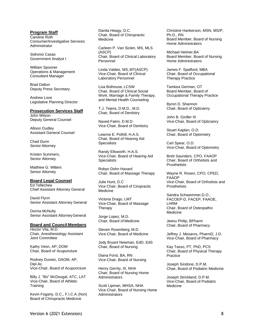#### **Program Staff**

Caroline Roth Consumer/Investigative Services Administrator

Sidronio Casas Government Analyst I

William Spooner Operations & Management Consultant Manager

Brad Dalton Deputy Press Secretary

Andrew Love Legislative Planning Director

#### **Prosecution Services Staff**

John Wilson Deputy General Counsel

Allison Dudley Assistant General Counsel

Chad Dunn Senior Attorney

Kristen Summers, Senior Attorney

Matthew G. Witters Senior Attorney

#### **Board Legal Counsel**

Ed Tellechea Chief Assistant Attorney General

David Flynn Senior Assistant Attorney General

Donna McNulty Senior Assistant AttorneyGeneral

#### **Board and Council Members**

Hector Vila, M.D. Chair, Anesthesiology Assistant Joint Committee

Kathy Veon, AP, DOM Chair, Board of Acupuncture

Rodney Dunetz, DAOM, AP, Dipl.Ac. Vice-Chair, Board of Acupuncture

Billy J. "Bo" McDougal, ATC, LAT Vice-Chair, Board of Athletic **Training** 

Kevin Fogarty, D.C., F.I.C.A.(hon) Board of Chiropractic Medicine

Danita Heagy, D.C. Chair, Board of Chiropractic Medicine

Carleen P. Van Siclen, MS, MLS (ASCP) Chair, Board of Clinical Laboratory Personnel

Linda Valdes, MS, MT(ASCP) Vice-Chair, Board of Clinical Laboratory Personnel

Lisa Bolhouse, LCSW Chair, Board of Clinical Social Work, Marriage & Family Therapy, and Mental Health Counseling

T.J. Tejera, D.M.D., M.D. Chair, Board of Dentistry

Naved Fatmi, D.M.D. Vice-Chair, Board of Dentistry

Leanne E. Polhill, H.A.S. Chair, Board of Hearing Aid **Specialists** 

Randy Ellsworth, H.A.S. Vice-Chair, Board of Hearing Aid **Specialists** 

Robyn Dohn Havard Chair, Board of Massage Therapy

Julie Hunt, D.C Vice Chair, Board of Ciropractic Medicine

Victoria Drago, LMT Vice-Chair, Board of Massage **Therapy** 

Jorge Lopez, M.D. Chair, Board of Medicine

Steven Rosenberg, M.D. Vice-Chair, Board of Medicine

Jody Bryant Newman, EdD, EdS Chair, Board of Nursing

Diana Forst, BA, RN Vice-Chair, Board of Nursing

Henry Gerrity, III, NHA Chair, Board of Nursing Home Administrators

Scott Lipman, MHSA, NHA Vice-Chair, Board of Nursing Home Administrators

Christine Hankerson, MSN, MS/P, Ph.D., RN Board Member, Board of Nursing Home Administrators

Michael Helmer,BA Board Member, Board of Nursing Home Administrators

James F. Spafford, MBA Chair, Board of Occupational Therapy Practice

Tamkea German, OT Board Member, Board of Occupational Therapy Practice

Byron D. Shannon Chair, Board of Opticianry

John B. Girdler III Vice-Chair, Board of Opticianry

Stuart Kaplan, O.D. Chair, Board of Optometry

Carl Spear, O.D. Vice-Chair, Board of Optometry

Brett Saunders. CPO, FAAOP Chair, Board of Orthotists and **Prosthetists** 

Wayne R. Rosen, CPO, CPED, FAAOP Vice-Chair, Board of Orthotists and **Prosthetists** 

Sandra Schwemmer,D.O., FACOEP-D, FACEP, FAAOE, LHRM Chair, Board of Osteopathic Medicine

Jeenu Philip, BPharm Chair, Board of Pharmacy

Jeffrey J. Mesaros, PharmD, J.D. Vice-Chair, Board of Pharmacy

Kay Tasso, PT, PhD, PCS Chair, Board of Physical Therapy Practice

Joseph Sindone, D.P.M. Chair, Board of Podiatric Medicine

Joseph Strickland, D.P.M. Vice-Chair, Board of Podiatric Medicine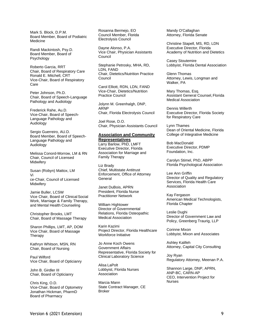Mark S. Block, D.P.M. Board Member, Board of Podiatric Medicine

Randi Mackintosh, Psy.D. Board Member, Board of Psychology

Roberto Garcia, RRT Chair, Board of Respiratory Care Ronald E. Mitchell, CRT Vice-Chair, Board of Respiratory Care

Peter Johnson, Ph.D. Chair, Board of Speech-Language Pathology and Audiology

Frederick Rahe, Au.D. Vice-Chair, Board of Speech-Language Pathology and Audiology

Sergio Guerreiro, AU.D. Board Member, Board of Speech-Language Pathology and Audiology

Melissa Conord-Morrow, LM & RN Chair, Council of Licensed **Midwiferv** 

Susan (Robyn) Mattox, LM Vi ce-Chair, Council of Licensed **Midwifery** 

Jamie Buller, LCSW Vice Chair, Board of Clinical Social Work, Marriage & Family Therapy, and Mental Health Counseling

Christopher Brooks, LMT Chair, Board of Massage Therapy

Sharon Phillips, LMT, AP, DOM Vice Chair, Board of Massage **Therapy** 

Kathryn Whitson, MSN, RN Chair, Board of Nursing

Paul Wilford Vice Chair, Board of Opticianry

John B. Girdler III Chair, Board of Opticianry

Chris King, O.D. Vice-Chair, Board of Optometry Jonathan Hickman, PharmD Board of Pharmacy

Rosanna Bermejo, EO Council Member, Florida Electrolysis Council

Dayne Alonso, P.A. Vice Chair, Physician Assistants Council

Stephanie Petrosky, MHA, RD, LDN, FAND Chair, Dietetics/Nutrition Practice Council

Carol Elliott, RDN, LDN, FAND Vice-Chair, Dietetics/Nutrition Practice Council

Jolynn M. Greenhalgh, DNP, ARNP Chair, Florida Electrolysis Council

Joel Rose, D.O. Chair, Physician Assistants Council

#### **Association and Community**

**Representatives** Larry Barlow, PhD, LMFT Executive Director, Florida Association for Marriage and Family Therapy

Liz Brady Chief, Multistate Antitrust Enforcement, Office of Attorney **General** 

Janet DuBois, APRN President, Florida Nurse Practitioner Network

William Hightower Director of Governmental Relations, Florida Osteopathic Medical Association

Karin Kazimi Project Director, Florida Healthcare Workforce Initiative

Jo Anne Koch Owens Government Affairs Representative, Florida Society for Clinical Laboratory Science

Alisa LaPolt Lobbyist, Florida Nurses Association

Marcia Mann State Contract Manager, CE Broker

Mandy O'Callaghan Attorney, Florida Senate

Christine Stapell, MS, RD, LDN Executive Director, Florida Academy of Nutrition and Dietetics

Casey Stoutemire Lobbyist, Florida Dental Association

Glenn Thomas Attorney, Lewis, Longman and Walker, PA

Mary Thomas, Esq. Assistant General Counsel,Florida Medical Association

Dennis Willerth Executive Director, Florida Society for Respiratory Care

Lynn Thames Dean of Oriental Medicine, Florida College of Integrative Medicine

Bob MacDonald Executive Director, PDMP Foundation, Inc.

Carolyn Stimel, PhD, ABPP Florida Psychological Association

Lee Ann Griffin Director of Quality and Regulatory Services, Florida Health Care Association

Kay Fergason American Medical Technologists, Florida Chapter

Leslie Dughi Director of Government Law and Policy, Greenberg Traurig, LLP

Corinne Mixon Lobbyist, Mixon and Associates

Ashley Kalifeh Attorney, Capital City Consulting

Joy Ryan Regulatory Attorney, Meenan P.A.

Shannon Large, DNP, APRN, ANP-BC, CARN-AP CEO, Intervention Project for Nurses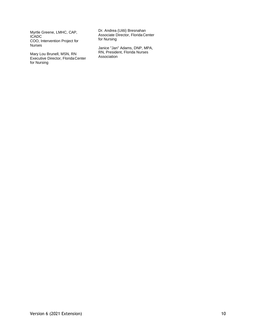Myrtle Greene, LMHC, CAP, ICADC COO, Intervention Project for Nurses

Mary Lou Brunell, MSN, RN Executive Director, Florida Center for Nursing

Dr. Andrea (Uitti) Bresnahan Associate Director, Florida Center for Nursing

Janice "Jan" Adams, DNP, MPA, RN, President, Florida Nurses Association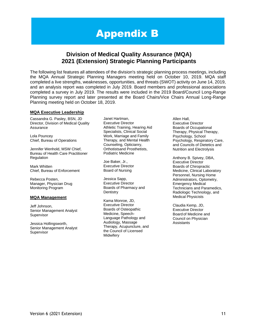# Appendix B

### **Division of Medical Quality Assurance (MQA) 2021 (Extension) Strategic Planning Participants**

The following list features all attendees of the division's strategic planning process meetings, including the MQA Annual Strategic Planning Managers meeting held on October 10, 2019. MQA staff completed a live strengths, weaknesses, opportunities, and threats (SWOT) activity on June 14, 2019, and an analysis report was completed in July 2019. Board members and professional associations completed a survey in July 2019. The results were included in the 2019 Board/Council Long-Range Planning survey report and later presented at the Board Chairs/Vice Chairs Annual Long-Range Planning meeting held on October 18, 2019.

#### **MQA Executive Leadership**

Cassandra G. Pasley, BSN, JD Director, Division of Medical Quality Assurance

Lola Pouncey Chief, Bureau of Operations

Jennifer Wenhold, MSW Chief, Bureau of Health Care Practitioner Regulation

Mark Whitten Chief, Bureau of Enforcement

Rebecca Posten, Manager, Physician Drug Monitoring Program

#### **MQA Management**

Jeff Johnson, Senior Management Analyst Supervisor

Jessica Hollingsworth, Senior Management Analyst Supervisor

Janet Hartman, Executive Director Athletic Training, Hearing Aid Specialists, Clinical Social Work, Marriage and Family Therapy, and Mental Health Counseling, Opticianry, Orthotistsand Prosthetists, Podiatric Medicine

Joe Baker, Jr., Executive Director Board of Nursing

Jessica Sapp, Executive Director Boards of Pharmacy and **Dentistry** 

Kama Monroe, JD, Executive Director Boards of Osteopathic Medicine, Speech-Language Pathology and Audiology, Massage Therapy, Acupuncture, and the Council of Licensed **Midwiferv** 

Allen Hall, Executive Director Boards of Occupational Therapy, Physical Therapy, Psychology, School Psychology, Respiratory Care, and Councils of Dietetics and Nutrition and Electrolysis

Anthony B. Spivey, DBA, Executive Director Boards of Chiropractic Medicine, Clinical Laboratory Personnel, Nursing Home Administrators, Optometry, Emergency Medical Technicians and Paramedics, Radiologic Technology, and Medical Physicists

Claudia Kemp, JD, Executive Director Board of Medicine and Council on Physician **Assistants**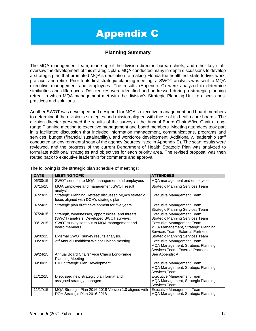# Appendix C

### **Planning Summary**

The MQA management team, made up of the division director, bureau chiefs, and other key staff, oversaw the development of this strategic plan. MQA conducted many in-depth discussions to develop a strategic plan that promoted MQA's dedication to making Florida the healthiest state to live, work, practice, and retire. Prior to its first strategic planning meeting, a SWOT analysis was sent to MQA executive management and employees. The results (Appendix C) were analyzed to determine similarities and differences. Deficiencies were identified and addressed during a strategic planning retreat in which MQA management met with the division's Strategic Planning Unit to discuss best practices and solutions.

Another SWOT was developed and designed for MQA's executive management and board members to determine if the division's strategies and mission aligned with those of its health care boards. The division director presented the results of the survey at the Annual Board Chairs/Vice Chairs Longrange Planning meeting to executive management and board members. Meeting attendees took part in a facilitated discussion that included information management, communications, programs and services, budget (financial sustainability), and workforce development. Additionally, leadership staff conducted an environmental scan of the agency (sources listed in Appendix E). The scan results were reviewed, and the progress of the current Department of Health Strategic Plan was analyzed to formulate additional strategies and objectives for each priority area. The revised proposal was then routed back to executive leadership for comments and approval.

| <b>DATE</b> | <b>MEETING TOPIC</b>                                                                             | <b>ATTENDEES</b>                                                                                     |
|-------------|--------------------------------------------------------------------------------------------------|------------------------------------------------------------------------------------------------------|
| 06/30/15    | SWOT sent out to MQA management and employees                                                    | MQA management and employees                                                                         |
| 07/15/15    | MQA Employee and management SWOT result<br>analysis                                              | Strategic Planning Services Team                                                                     |
| 07/23/15    | Strategic Planning Retreat: discussed MQA's strategic<br>focus aligned with DOH's strategic plan | <b>Executive Management Team</b>                                                                     |
| 07/24/15    | Strategic plan draft development for five years                                                  | Executive Management Team,<br><b>Strategic Planning Services Team</b>                                |
| 07/24/15    | Strength, weaknesses, opportunities, and threats<br>(SWOT) analysis. Developed SWOT surveys.     | <b>Executive Management Team</b><br><b>Strategic Planning Services Team</b>                          |
| 08/12/15    | SWOT survey sent out to MQA management and<br>board members                                      | Executive Management Team,<br>MQA Management, Strategic Planning<br>Services Team, External Partners |
| 09/02/15    | External SWOT survey results analysis.                                                           | <b>Strategic Planning Services Team</b>                                                              |
| 09/23/15    | 2 <sup>nd</sup> Annual Healthiest Weight Liaison meeting                                         | Executive Management Team,<br>MQA Management, Strategic Planning<br>Services Team, External Partners |
| 09/24/15    | Annual Board Chairs/ Vice Chairs Long-range<br><b>Planning Meeting</b>                           | See Appendix A                                                                                       |
| 09/30/15    | <b>EMT Strategic Plan Development</b>                                                            | Executive Management Team,<br>MQA Management, Strategic Planning<br>Services Team                    |
| 11/12/15    | Discussed new strategic plan format and<br>assigned strategy managers                            | Executive Management Team,<br>MQA Management, Strategic Planning<br>Services Team                    |
| 11/17/15    | MQA Strategic Plan 2016-2018 Version 1.0 aligned with<br>DOH Strategic Plan 2016-2018            | Executive Management Team,<br>MQA Management, Strategic Planning                                     |

The following is the strategic plan schedule of meetings: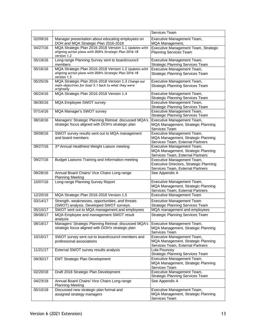|          |                                                                                                                                 | Services Team                                                                                             |  |
|----------|---------------------------------------------------------------------------------------------------------------------------------|-----------------------------------------------------------------------------------------------------------|--|
| 02/09/16 | Manager presentation about educating employees on<br>DOH and MQA Strategic Plan 2016-2018                                       | Executive Management Team,<br>MQA Management,                                                             |  |
| 04/27/16 | MQA Strategic Plan 2016-2018 Version 1.1 Updates with<br>aligning action plans with DOH's Strategic Plan 2016-18<br>version 1.2 | Executive Management Team, Strategic<br>Planning Services Team                                            |  |
| 05/19/16 | Long-range Planning Survey sent to board/council<br>members                                                                     | Executive Management Team,<br><b>Strategic Planning Services Team</b>                                     |  |
| 05/16/16 | MQA Strategic Plan 2016-2018 Version 1.2 Updates with<br>aligning action plans with DOH's Strategic Plan 2016-18<br>version 1.5 | Executive Management Team,<br><b>Strategic Planning Services Team</b>                                     |  |
| 05/25/16 | MQA Strategic Plan 2016-2018 Version 1.3 Change our<br>main objectives for Goal 5.1 back to what they were<br>originally        | Executive Management Team,<br><b>Strategic Planning Services Team</b>                                     |  |
| 06/24/16 | MQA Strategic Plan 2016-2018 Version 1.4                                                                                        | Executive Management Team,<br><b>Strategic Planning Services Team</b>                                     |  |
| 06/30/16 | <b>MQA Employee SWOT survey</b>                                                                                                 | Executive Management Team,<br><b>Strategic Planning Services Team</b>                                     |  |
| 07/14/16 | <b>MQA Manager's SWOT survey</b>                                                                                                | Executive Management Team,<br><b>Strategic Planning Services Team</b>                                     |  |
| 08/18/16 | Managers' Strategic Planning Retreat: discussed MQA's<br>strategic focus aligned with DOH's strategic plan                      | Executive Management Team,<br>MQA Management, Strategic Planning<br>Services Team                         |  |
| 09/08/16 | SWOT survey results sent out to MQA management<br>and board members                                                             | Executive Management Team,<br>MQA Management, Strategic Planning<br>Services Team, External Partners      |  |
| 09/27/16 | 3rd Annual Healthiest Weight Liaison meeting                                                                                    | Executive Management Team,<br>MQA Management, Strategic Planning<br>Services Team, External Partners      |  |
| 09/27/16 | <b>Budget Liaisons Training and Information meeting</b>                                                                         | Executive Management Team,<br>Executive Directors, Strategic Planning<br>Services Team, External Partners |  |
| 09/28/16 | Annual Board Chairs/ Vice Chairs Long-range<br><b>Planning Meeting</b>                                                          | See Appendix A                                                                                            |  |
| 10/07/16 | Long-range Planning Survey Report                                                                                               | Executive Management Team,<br>MQA Management, Strategic Planning<br>Services Team, External Partners      |  |
| 12/20/16 | MQA Strategic Plan 2016-2018 Version 1.5                                                                                        | <b>Executive Management Team</b>                                                                          |  |
| 03/14/17 | Strength, weaknesses, opportunities, and threats<br>(SWOT) analysis. Developed SWOT surveys.                                    | <b>Executive Management Team</b><br><b>Strategic Planning Services Team</b>                               |  |
| 05/10/17 | SWOT sent out to MQA management and employees                                                                                   | MQA management and employees                                                                              |  |
| 06/08/17 | MQA Employee and management SWOT result<br>analysis                                                                             | <b>Strategic Planning Services Team</b>                                                                   |  |
| 08/18/17 | Managers' Strategic Planning Retreat: discussed MQA's<br>strategic focus aligned with DOH's strategic plan                      | Executive Management Team,<br>MQA Management, Strategic Planning<br>Services Team                         |  |
| 10/16/17 | SWOT survey sent out to board/council members and<br>professional associations                                                  | Executive Management Team,<br>MQA Management, Strategic Planning<br>Services Team, External Partners      |  |
| 11/21/17 | External SWOT survey results analysis                                                                                           | Lola Pouncey<br><b>Strategic Planning Services Team</b>                                                   |  |
| 09/30/17 | <b>EMT Strategic Plan Development</b>                                                                                           | Executive Management Team,<br>MQA Management, Strategic Planning<br>Services Team                         |  |
| 02/20/18 | Draft 2018 Strategic Plan Development                                                                                           | Executive Management Team,<br><b>Strategic Planning Services Team</b>                                     |  |
| 04/23/18 | Annual Board Chairs/ Vice Chairs Long-range<br><b>Planning Meeting</b>                                                          | See Appendix A                                                                                            |  |
| 05/10/18 | Discussed new strategic plan format and<br>assigned strategy managers                                                           | Executive Management Team,<br>MQA Management, Strategic Planning<br>Services Team                         |  |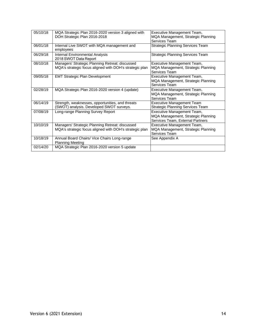| 05/10/18 | MQA Strategic Plan 2016-2020 version 3 aligned with<br>DOH Strategic Plan 2016-2018                        | Executive Management Team,<br>MQA Management, Strategic Planning<br>Services Team                    |
|----------|------------------------------------------------------------------------------------------------------------|------------------------------------------------------------------------------------------------------|
| 06/01/18 | Internal Live SWOT with MQA management and<br>employees                                                    | Strategic Planning Services Team                                                                     |
| 06/29/18 | <b>Internal Environmental Analysis</b><br>2018 SWOT Data Report                                            | <b>Strategic Planning Services Team</b>                                                              |
| 08/10/18 | Managers' Strategic Planning Retreat: discussed<br>MQA's strategic focus aligned with DOH's strategic plan | Executive Management Team,<br>MQA Management, Strategic Planning<br>Services Team                    |
| 09/05/18 | <b>EMT Strategic Plan Development</b>                                                                      | Executive Management Team,<br>MQA Management, Strategic Planning<br>Services Team                    |
| 02/28/19 | MQA Strategic Plan 2016-2020 version 4 (update)                                                            | Executive Management Team,<br>MQA Management, Strategic Planning<br>Services Team                    |
| 06/14/19 | Strength, weaknesses, opportunities, and threats<br>(SWOT) analysis. Developed SWOT surveys.               | Executive Management Team<br>Strategic Planning Services Team                                        |
| 07/08/19 | Long-range Planning Survey Report                                                                          | Executive Management Team,<br>MQA Management, Strategic Planning<br>Services Team, External Partners |
| 10/10/19 | Managers' Strategic Planning Retreat: discussed<br>MQA's strategic focus aligned with DOH's strategic plan | Executive Management Team,<br>MQA Management, Strategic Planning<br>Services Team                    |
| 10/18/19 | Annual Board Chairs/ Vice Chairs Long-range<br><b>Planning Meeting</b>                                     | See Appendix A                                                                                       |
| 02/14/20 | MQA Strategic Plan 2016-2020 version 5 update                                                              |                                                                                                      |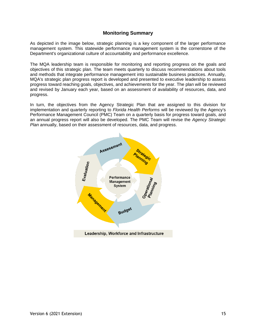### **Monitoring Summary**

As depicted in the image below, strategic planning is a key component of the larger performance management system. This statewide performance management system is the cornerstone of the Department's organizational culture of accountability and performance excellence.

The MQA leadership team is responsible for monitoring and reporting progress on the goals and objectives of this strategic plan. The team meets quarterly to discuss recommendations about tools and methods that integrate performance management into sustainable business practices. Annually, MQA's strategic plan progress report is developed and presented to executive leadership to assess progress toward reaching goals, objectives, and achievements for the year. The plan will be reviewed and revised by January each year, based on an assessment of availability of resources, data, and progress.

In turn, the objectives from the Agency Strategic Plan that are assigned to this division for implementation and quarterly reporting to *Florida Health Performs* will be reviewed by the Agency's Performance Management Council (PMC) Team on a quarterly basis for progress toward goals, and an annual progress report will also be developed. The PMC Team will revise the *Agency Strategic Plan* annually, based on their assessment of resources, data, and progress.

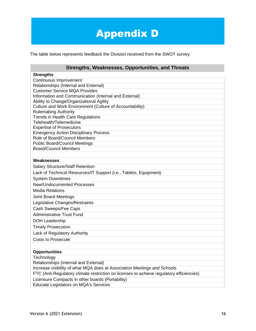# Appendix D

The table below represents feedback the Division received from the SWOT survey.

## **Strengths, Weaknesses, Opportunities, and Threats**

| <b>Strengths</b>                                                                         |
|------------------------------------------------------------------------------------------|
| Continuous Improvement                                                                   |
| Relationships (Internal and External)                                                    |
| <b>Customer Service MQA Provides</b>                                                     |
| Information and Communication (Internal and External)                                    |
| Ability to Change/Organizational Agility                                                 |
| Culture and Work Environment (Culture of Accountability)                                 |
| <b>Rulemaking Authority</b>                                                              |
| <b>Trends in Health Care Regulations</b><br>Telehealth/Telemedicine                      |
| <b>Expertise of Prosecutors</b>                                                          |
| <b>Emergency Action Disciplinary Process</b>                                             |
| Role of Board/Council Members                                                            |
| <b>Public Board/Council Meetings</b>                                                     |
| <b>Board/Council Members</b>                                                             |
|                                                                                          |
| Weaknesses                                                                               |
|                                                                                          |
| <b>Salary Structure/Staff Retention</b>                                                  |
| Lack of Technical Resources/IT Support (i.e., Tablets, Equipment)                        |
| <b>System Downtimes</b>                                                                  |
| <b>New/Undocumented Processes</b>                                                        |
| <b>Media Relations</b>                                                                   |
| <b>Joint Board Meetings</b>                                                              |
| Legislative Changes/Restraints                                                           |
| Cash Sweeps/Fee Caps                                                                     |
| <b>Administrative Trust Fund</b>                                                         |
| <b>DOH Leadership</b>                                                                    |
| <b>Timely Prosecution</b>                                                                |
| Lack of Regulatory Authority                                                             |
| <b>Costs to Prosecute</b>                                                                |
|                                                                                          |
| <b>Opportunities</b>                                                                     |
| Technology                                                                               |
| Relationships (Internal and External)                                                    |
| Increase visibility of what MQA does at Association Meetings and Schools                 |
| FTC (Anti-Regulatory climate restriction on licenses to achieve regulatory efficiencies) |
| Licensure Compacts in other boards (Portability)                                         |
| <b>Educate Legislators on MQA's Services</b>                                             |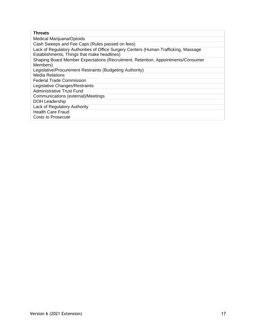| Threats                                                                                                                             |
|-------------------------------------------------------------------------------------------------------------------------------------|
| Medical Marijuana/Opioids                                                                                                           |
| Cash Sweeps and Fee Caps (Rules passed on fees)                                                                                     |
| Lack of Regulatory Authorities of Office Surgery Centers (Human Trafficking, Massage<br>Establishments, Things that make headlines) |
| Shaping Board Member Expectations (Recruitment, Retention, Appointments/Consumer<br>Members)                                        |
| Legislative/Procurement Restraints (Budgeting Authority)                                                                            |
| Media Relations                                                                                                                     |
| <b>Federal Trade Commission</b>                                                                                                     |
| Legislative Changes/Restraints                                                                                                      |
| <b>Administrative Trust Fund</b>                                                                                                    |
| Communications (external)/Meetings                                                                                                  |
| <b>DOH Leadership</b>                                                                                                               |
| Lack of Regulatory Authority                                                                                                        |
| <b>Health Care Fraud</b>                                                                                                            |
| Costs to Prosecute                                                                                                                  |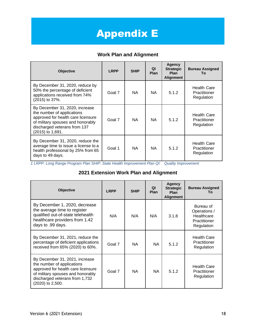# **Appendix E**

### **Work Plan and Alignment**

| <b>Objective</b>                                                                                                                                                                              | <b>LRPP</b> | <b>SHIP</b> | QI<br>Plan | Agency<br><b>Strategic</b><br>Plan<br><b>Alignment</b> | <b>Bureau Assigned</b><br>Тο                     |
|-----------------------------------------------------------------------------------------------------------------------------------------------------------------------------------------------|-------------|-------------|------------|--------------------------------------------------------|--------------------------------------------------|
| By December 31, 2020, reduce by<br>50% the percentage of deficient<br>applications received from 74%<br>(2015) to 37%.                                                                        | Goal 7      | NA.         | NA.        | 5.1.2                                                  | Health Care<br>Practitioner<br>Regulation        |
| By December 31, 2020, increase<br>the number of applications<br>approved for health care licensure<br>of military spouses and honorably<br>discharged veterans from 137<br>$(2015)$ to 1,691. | Goal 7      | <b>NA</b>   | <b>NA</b>  | 5.1.2                                                  | <b>Health Care</b><br>Practitioner<br>Regulation |
| By December 31, 2020, reduce the<br>average time to issue a license to a<br>health professional by 25% from 65<br>days to 49 days.                                                            | Goal 1      | <b>NA</b>   | <b>NA</b>  | 5.1.2                                                  | <b>Health Care</b><br>Practitioner<br>Regulation |

*1 LRPP: Long Range Program Plan SHIP: State Health Improvement Plan QI: Quality Improvement*

### **2021 Extension Work Plan and Alignment**

| <b>Objective</b>                                                                                                                                                                              | <b>LRPP</b> | <b>SHIP</b> | ΩI<br>Plan | Agency<br><b>Strategic</b><br>Plan<br><b>Alignment</b> | <b>Bureau Assigned</b><br>Тο                                          |
|-----------------------------------------------------------------------------------------------------------------------------------------------------------------------------------------------|-------------|-------------|------------|--------------------------------------------------------|-----------------------------------------------------------------------|
| By December 1, 2020, decrease<br>the average time to register<br>qualified out-of-state telehealth<br>healthcare providers from 1.42<br>days to .99 days.                                     | N/A         | N/A         | N/A        | 3.1.8                                                  | Bureau of<br>Operations /<br>Healthcare<br>Practitioner<br>Regulation |
| By December 31, 2021, reduce the<br>percentage of deficient applications<br>received from 65% (2020) to 60%.                                                                                  | Goal 7      | NA.         | <b>NA</b>  | 5.1.2                                                  | <b>Health Care</b><br>Practitioner<br>Regulation                      |
| By December 31, 2021, increase<br>the number of applications<br>approved for health care licensure<br>of military spouses and honorably<br>discharged veterans from 1,732<br>(2020) to 2,500. | Goal 7      | <b>NA</b>   | <b>NA</b>  | 5.1.2                                                  | <b>Health Care</b><br>Practitioner<br>Regulation                      |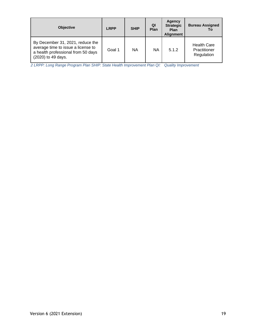| <b>Objective</b>                                                                                                                   | <b>LRPP</b> | <b>SHIP</b> | QI<br>Plan | Agency<br><b>Strategic</b><br><b>Plan</b><br><b>Alignment</b> | <b>Bureau Assigned</b><br>Тο                     |
|------------------------------------------------------------------------------------------------------------------------------------|-------------|-------------|------------|---------------------------------------------------------------|--------------------------------------------------|
| By December 31, 2021, reduce the<br>average time to issue a license to<br>a health professional from 50 days<br>(2020) to 49 days. | Goal 1      | NA          | NA         | 5.1.2                                                         | <b>Health Care</b><br>Practitioner<br>Regulation |

*2 LRPP: Long Range Program Plan SHIP: State Health Improvement Plan QI: Quality Improvement*